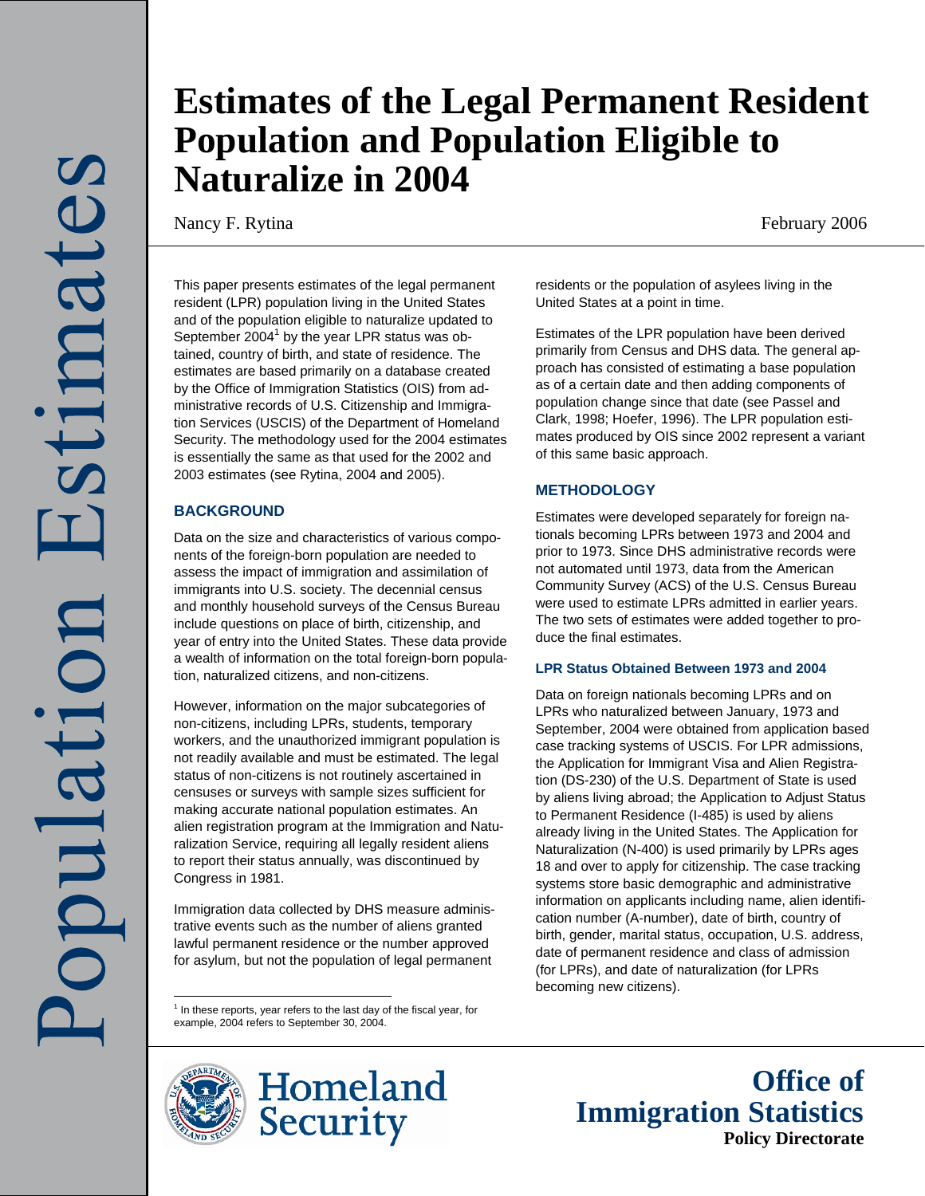# **Estimates of the Legal Permanent Resident Population and Population Eligible to Naturalize in 2004**

Nancy F. Rytina February 2006

This paper presents estimates of the legal permanent resident (LPR) population living in the United States and of the population eligible to naturalize updated to September 2004 $^1$  by the year LPR status was obtained, country of birth, and state of residence. The estimates are based primarily on a database created by the Office of Immigration Statistics (OIS) from administrative records of U.S. Citizenship and Immigration Services (USCIS) of the Department of Homeland Security. The methodology used for the 2004 estimates is essentially the same as that used for the 2002 and 2003 estimates (see Rytina, 2004 and 2005).

# **BACKGROUND**

Data on the size and characteristics of various components of the foreign-born population are needed to assess the impact of immigration and assimilation of immigrants into U.S. society. The decennial census and monthly household surveys of the Census Bureau include questions on place of birth, citizenship, and year of entry into the United States. These data provide a wealth of information on the total foreign-born population, naturalized citizens, and non-citizens.

However, information on the major subcategories of non-citizens, including LPRs, students, temporary workers, and the unauthorized immigrant population is not readily available and must be estimated. The legal status of non-citizens is not routinely ascertained in censuses or surveys with sample sizes sufficient for making accurate national population estimates. An alien registration program at the Immigration and Naturalization Service, requiring all legally resident aliens to report their status annually, was discontinued by Congress in 1981.

Immigration data collected by DHS measure administrative events such as the number of aliens granted lawful permanent residence or the number approved for asylum, but not the population of legal permanent

1<br><sup>1</sup> In these reports, year refers to the last day of the fiscal year, for example, 2004 refers to September 30, 2004.

Homeland **Security** 

residents or the population of asylees living in the United States at a point in time.

Estimates of the LPR population have been derived primarily from Census and DHS data. The general approach has consisted of estimating a base population as of a certain date and then adding components of population change since that date (see Passel and Clark, 1998; Hoefer, 1996). The LPR population estimates produced by OIS since 2002 represent a variant of this same basic approach.

# **METHODOLOGY**

Estimates were developed separately for foreign nationals becoming LPRs between 1973 and 2004 and prior to 1973. Since DHS administrative records were not automated until 1973, data from the American Community Survey (ACS) of the U.S. Census Bureau were used to estimate LPRs admitted in earlier years. The two sets of estimates were added together to produce the final estimates.

# **LPR Status Obtained Between 1973 and 2004**

Data on foreign nationals becoming LPRs and on LPRs who naturalized between January, 1973 and September, 2004 were obtained from application based case tracking systems of USCIS. For LPR admissions, the Application for Immigrant Visa and Alien Registration (DS-230) of the U.S. Department of State is used by aliens living abroad; the Application to Adjust Status to Permanent Residence (I-485) is used by aliens already living in the United States. The Application for Naturalization (N-400) is used primarily by LPRs ages 18 and over to apply for citizenship. The case tracking systems store basic demographic and administrative information on applicants including name, alien identification number (A-number), date of birth, country of birth, gender, marital status, occupation, U.S. address, date of permanent residence and class of admission (for LPRs), and date of naturalization (for LPRs becoming new citizens).

> **Office of Immigration Statistics Policy Directorate**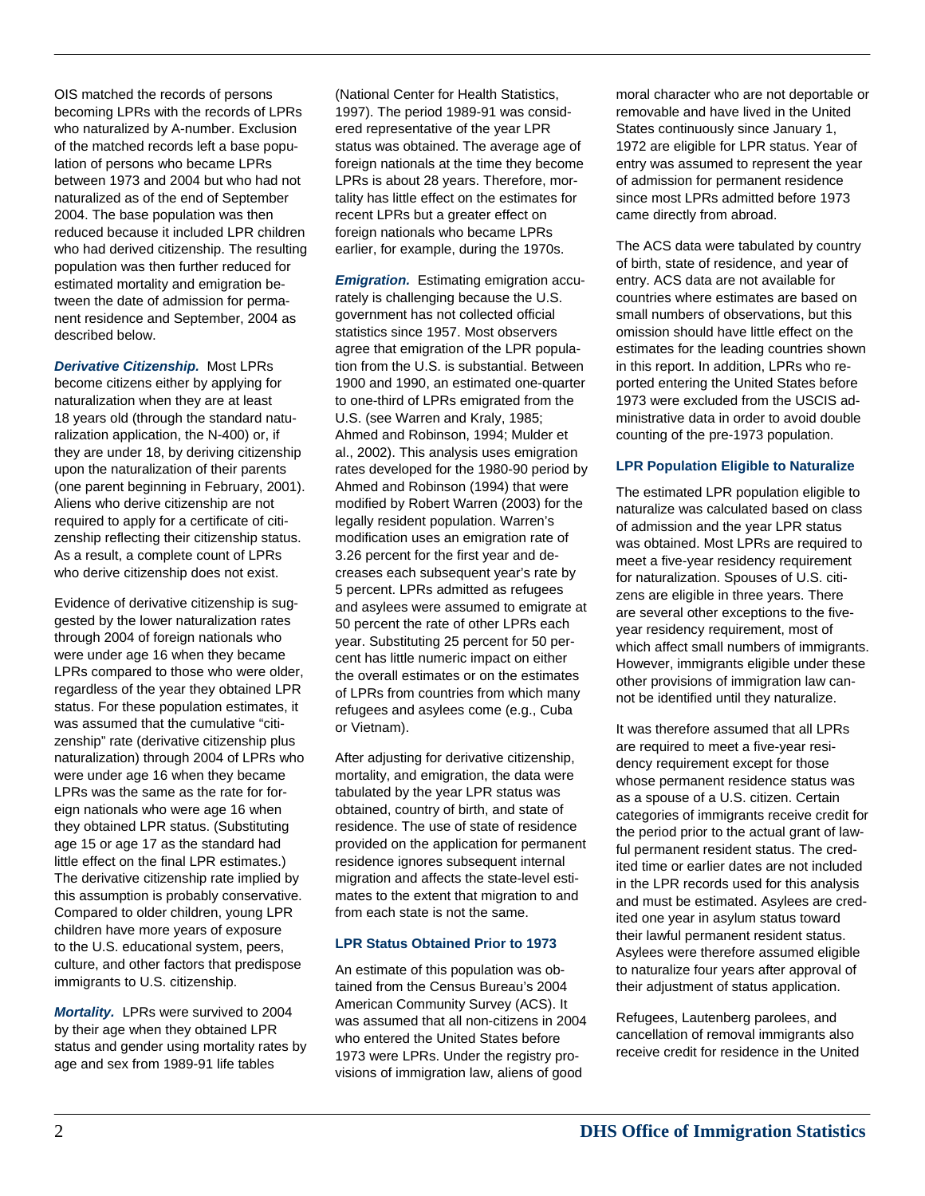OIS matched the records of persons becoming LPRs with the records of LPRs who naturalized by A-number. Exclusion of the matched records left a base population of persons who became LPRs between 1973 and 2004 but who had not naturalized as of the end of September 2004. The base population was then reduced because it included LPR children who had derived citizenship. The resulting population was then further reduced for estimated mortality and emigration between the date of admission for permanent residence and September, 2004 as described below.

*Derivative Citizenship.* Most LPRs become citizens either by applying for naturalization when they are at least 18 years old (through the standard naturalization application, the N-400) or, if they are under 18, by deriving citizenship upon the naturalization of their parents (one parent beginning in February, 2001). Aliens who derive citizenship are not required to apply for a certificate of citizenship reflecting their citizenship status. As a result, a complete count of LPRs who derive citizenship does not exist.

Evidence of derivative citizenship is suggested by the lower naturalization rates through 2004 of foreign nationals who were under age 16 when they became LPRs compared to those who were older, regardless of the year they obtained LPR status. For these population estimates, it was assumed that the cumulative "citizenship" rate (derivative citizenship plus naturalization) through 2004 of LPRs who were under age 16 when they became LPRs was the same as the rate for foreign nationals who were age 16 when they obtained LPR status. (Substituting age 15 or age 17 as the standard had little effect on the final LPR estimates.) The derivative citizenship rate implied by this assumption is probably conservative. Compared to older children, young LPR children have more years of exposure to the U.S. educational system, peers, culture, and other factors that predispose immigrants to U.S. citizenship.

*Mortality.* LPRs were survived to 2004 by their age when they obtained LPR status and gender using mortality rates by age and sex from 1989-91 life tables

(National Center for Health Statistics, 1997). The period 1989-91 was considered representative of the year LPR status was obtained. The average age of foreign nationals at the time they become LPRs is about 28 years. Therefore, mortality has little effect on the estimates for recent LPRs but a greater effect on foreign nationals who became LPRs earlier, for example, during the 1970s.

*Emigration.* Estimating emigration accurately is challenging because the U.S. government has not collected official statistics since 1957. Most observers agree that emigration of the LPR population from the U.S. is substantial. Between 1900 and 1990, an estimated one-quarter to one-third of LPRs emigrated from the U.S. (see Warren and Kraly, 1985; Ahmed and Robinson, 1994; Mulder et al., 2002). This analysis uses emigration rates developed for the 1980-90 period by Ahmed and Robinson (1994) that were modified by Robert Warren (2003) for the legally resident population. Warren's modification uses an emigration rate of 3.26 percent for the first year and decreases each subsequent year's rate by 5 percent. LPRs admitted as refugees and asylees were assumed to emigrate at 50 percent the rate of other LPRs each year. Substituting 25 percent for 50 percent has little numeric impact on either the overall estimates or on the estimates of LPRs from countries from which many refugees and asylees come (e.g., Cuba or Vietnam).

After adjusting for derivative citizenship, mortality, and emigration, the data were tabulated by the year LPR status was obtained, country of birth, and state of residence. The use of state of residence provided on the application for permanent residence ignores subsequent internal migration and affects the state-level estimates to the extent that migration to and from each state is not the same.

# **LPR Status Obtained Prior to 1973**

An estimate of this population was obtained from the Census Bureau's 2004 American Community Survey (ACS). It was assumed that all non-citizens in 2004 who entered the United States before 1973 were LPRs. Under the registry provisions of immigration law, aliens of good

moral character who are not deportable or removable and have lived in the United States continuously since January 1, 1972 are eligible for LPR status. Year of entry was assumed to represent the year of admission for permanent residence since most LPRs admitted before 1973 came directly from abroad.

The ACS data were tabulated by country of birth, state of residence, and year of entry. ACS data are not available for countries where estimates are based on small numbers of observations, but this omission should have little effect on the estimates for the leading countries shown in this report. In addition, LPRs who reported entering the United States before 1973 were excluded from the USCIS administrative data in order to avoid double counting of the pre-1973 population.

# **LPR Population Eligible to Naturalize**

The estimated LPR population eligible to naturalize was calculated based on class of admission and the year LPR status was obtained. Most LPRs are required to meet a five-year residency requirement for naturalization. Spouses of U.S. citizens are eligible in three years. There are several other exceptions to the fiveyear residency requirement, most of which affect small numbers of immigrants. However, immigrants eligible under these other provisions of immigration law cannot be identified until they naturalize.

It was therefore assumed that all LPRs are required to meet a five-year residency requirement except for those whose permanent residence status was as a spouse of a U.S. citizen. Certain categories of immigrants receive credit for the period prior to the actual grant of lawful permanent resident status. The credited time or earlier dates are not included in the LPR records used for this analysis and must be estimated. Asylees are credited one year in asylum status toward their lawful permanent resident status. Asylees were therefore assumed eligible to naturalize four years after approval of their adjustment of status application.

Refugees, Lautenberg parolees, and cancellation of removal immigrants also receive credit for residence in the United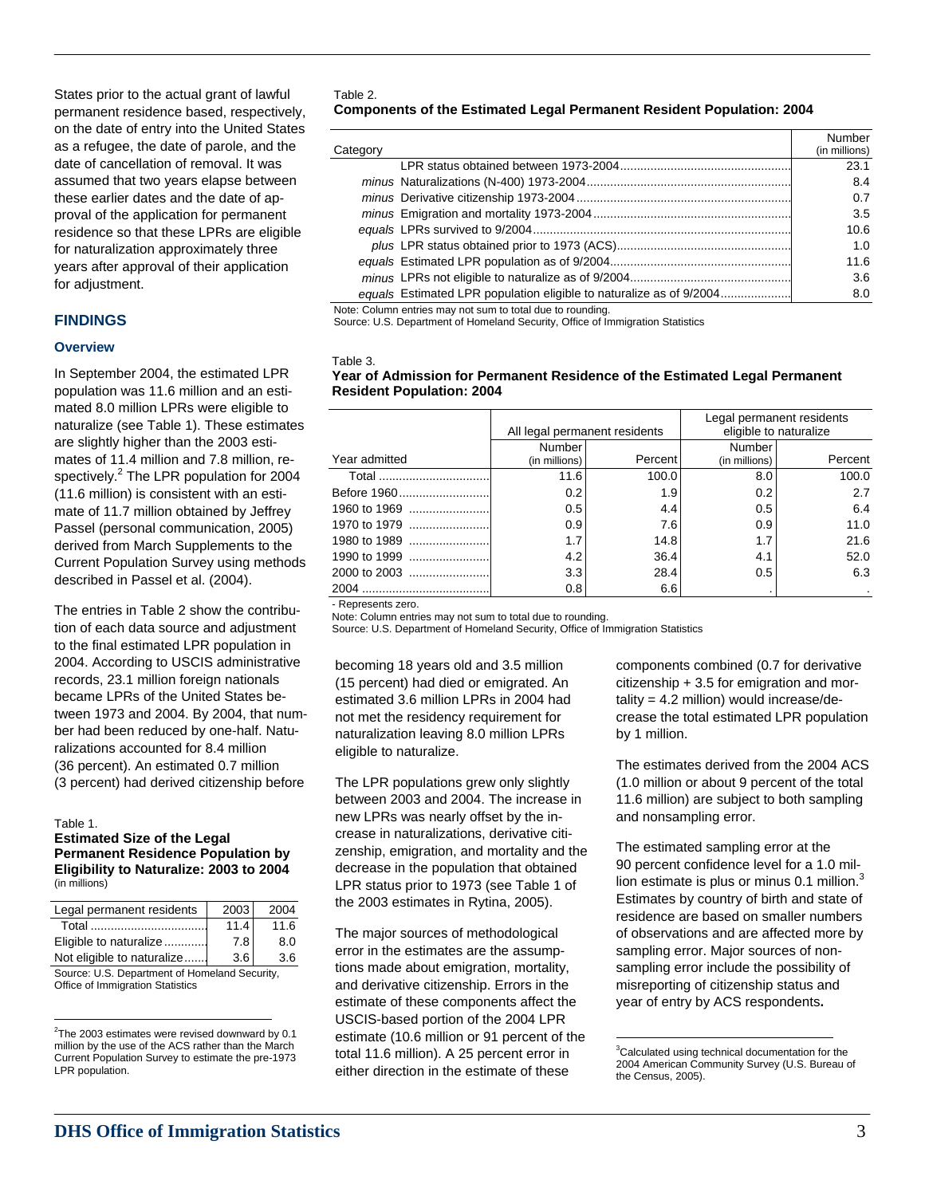States prior to the actual grant of lawful permanent residence based, respectively, on the date of entry into the United States as a refugee, the date of parole, and the date of cancellation of removal. It was assumed that two years elapse between these earlier dates and the date of approval of the application for permanent residence so that these LPRs are eligible for naturalization approximately three years after approval of their application for adjustment.

## **FINDINGS**

#### **Overview**

In September 2004, the estimated LPR population was 11.6 million and an estimated 8.0 million LPRs were eligible to naturalize (see Table 1). These estimates are slightly higher than the 2003 estimates of 11.4 million and 7.8 million, respectively.<sup>2</sup> The LPR population for 2004 (11.6 million) is consistent with an estimate of 11.7 million obtained by Jeffrey Passel (personal communication, 2005) derived from March Supplements to the Current Population Survey using methods described in Passel et al. (2004).

The entries in Table 2 show the contribution of each data source and adjustment to the final estimated LPR population in 2004. According to USCIS administrative records, 23.1 million foreign nationals became LPRs of the United States between 1973 and 2004. By 2004, that number had been reduced by one-half. Naturalizations accounted for 8.4 million (36 percent). An estimated 0.7 million (3 percent) had derived citizenship before

 $\overline{a}$ 

#### **Estimated Size of the Legal Permanent Residence Population by Eligibility to Naturalize: 2003 to 2004**  (in millions)

| Legal permanent residents                                                                                                                                                                                                                                                                                     | 2003 | 2004 |  |
|---------------------------------------------------------------------------------------------------------------------------------------------------------------------------------------------------------------------------------------------------------------------------------------------------------------|------|------|--|
|                                                                                                                                                                                                                                                                                                               | 11.4 | 11.6 |  |
| Eligible to naturalize                                                                                                                                                                                                                                                                                        | 7.8  | 8.0  |  |
| Not eligible to naturalize                                                                                                                                                                                                                                                                                    | 3.6  | 3.6  |  |
| $Q_{\text{c}}$ and $Q_{\text{c}}$ and $Q_{\text{c}}$ and $Q_{\text{c}}$ and $Q_{\text{c}}$ and $Q_{\text{c}}$ and $Q_{\text{c}}$ and $Q_{\text{c}}$ and $Q_{\text{c}}$ and $Q_{\text{c}}$ and $Q_{\text{c}}$ and $Q_{\text{c}}$ and $Q_{\text{c}}$ and $Q_{\text{c}}$ and $Q_{\text{c}}$ and $Q_{\text{c}}$ a |      |      |  |

Source: U.S. Department of Homeland Security, Office of Immigration Statistics

#### Table 2.

#### **Components of the Estimated Legal Permanent Resident Population: 2004**

| Category                                                            | Number<br>(in millions) |
|---------------------------------------------------------------------|-------------------------|
|                                                                     | 23.1                    |
|                                                                     | 8.4                     |
|                                                                     | 0.7                     |
|                                                                     | 3.5                     |
|                                                                     | 10.6                    |
|                                                                     | 1.0                     |
|                                                                     | 11.6                    |
|                                                                     | 3.6                     |
| equals Estimated LPR population eligible to naturalize as of 9/2004 | 8.0                     |

Note: Column entries may not sum to total due to rounding.

Source: U.S. Department of Homeland Security, Office of Immigration Statistics

#### Table 3.

#### **Year of Admission for Permanent Residence of the Estimated Legal Permanent Resident Population: 2004**

|               | All legal permanent residents  |         | Legal permanent residents<br>eligible to naturalize |         |
|---------------|--------------------------------|---------|-----------------------------------------------------|---------|
| Year admitted | <b>Number</b><br>(in millions) | Percent | Number<br>(in millions)                             | Percent |
| Total         | 11.6                           | 100.0   | 8.0                                                 | 100.0   |
|               | 0.2                            | 1.9     | 0.2                                                 | 2.7     |
|               | 0.5                            | 4.4     | 0.5                                                 | 6.4     |
|               | 0.9                            | 7.6     | 0.9                                                 | 11.0    |
|               | 1.7                            | 14.8    | 1.7                                                 | 21.6    |
|               | 4.2                            | 36.4    | 4.1                                                 | 52.0    |
|               | 3.3                            | 28.4    | 0.5                                                 | 6.3     |
|               | 0.8                            | 6.6     |                                                     |         |

- Represents zero.

Note: Column entries may not sum to total due to rounding.

Source: U.S. Department of Homeland Security, Office of Immigration Statistics

becoming 18 years old and 3.5 million (15 percent) had died or emigrated. An estimated 3.6 million LPRs in 2004 had not met the residency requirement for naturalization leaving 8.0 million LPRs eligible to naturalize.

The LPR populations grew only slightly between 2003 and 2004. The increase in Table 1. **The intervals of the in-** Table 1. Table 1. **The in-** Table 1. Table 1. The increase in naturalizations, derivative citizenship, emigration, and mortality and the decrease in the population that obtained LPR status prior to 1973 (see Table 1 of the 2003 estimates in Rytina, 2005).

<sup>2</sup>The 2003 estimates were revised downward by 0.1 estimate (10.6 million or 91 percent of the  $\overline{ }$ The major sources of methodological error in the estimates are the assumptions made about emigration, mortality, and derivative citizenship. Errors in the estimate of these components affect the USCIS-based portion of the 2004 LPR total 11.6 million). A 25 percent error in either direction in the estimate of these

components combined (0.7 for derivative citizenship + 3.5 for emigration and mortality = 4.2 million) would increase/decrease the total estimated LPR population by 1 million.

The estimates derived from the 2004 ACS (1.0 million or about 9 percent of the total 11.6 million) are subject to both sampling

The estimated sampling error at the 90 percent confidence level for a 1.0 million estimate is plus or minus 0.1 million. $3$ Estimates by country of birth and state of residence are based on smaller numbers of observations and are affected more by sampling error. Major sources of nonsampling error include the possibility of misreporting of citizenship status and year of entry by ACS respondents**.** 

 $2$ The 2003 estimates were revised downward by 0.1 million by the use of the ACS rather than the March Current Population Survey to estimate the pre-1973 LPR population.

<sup>&</sup>lt;sup>3</sup>Calculated using technical documentation for the 2004 American Community Survey (U.S. Bureau of the Census, 2005).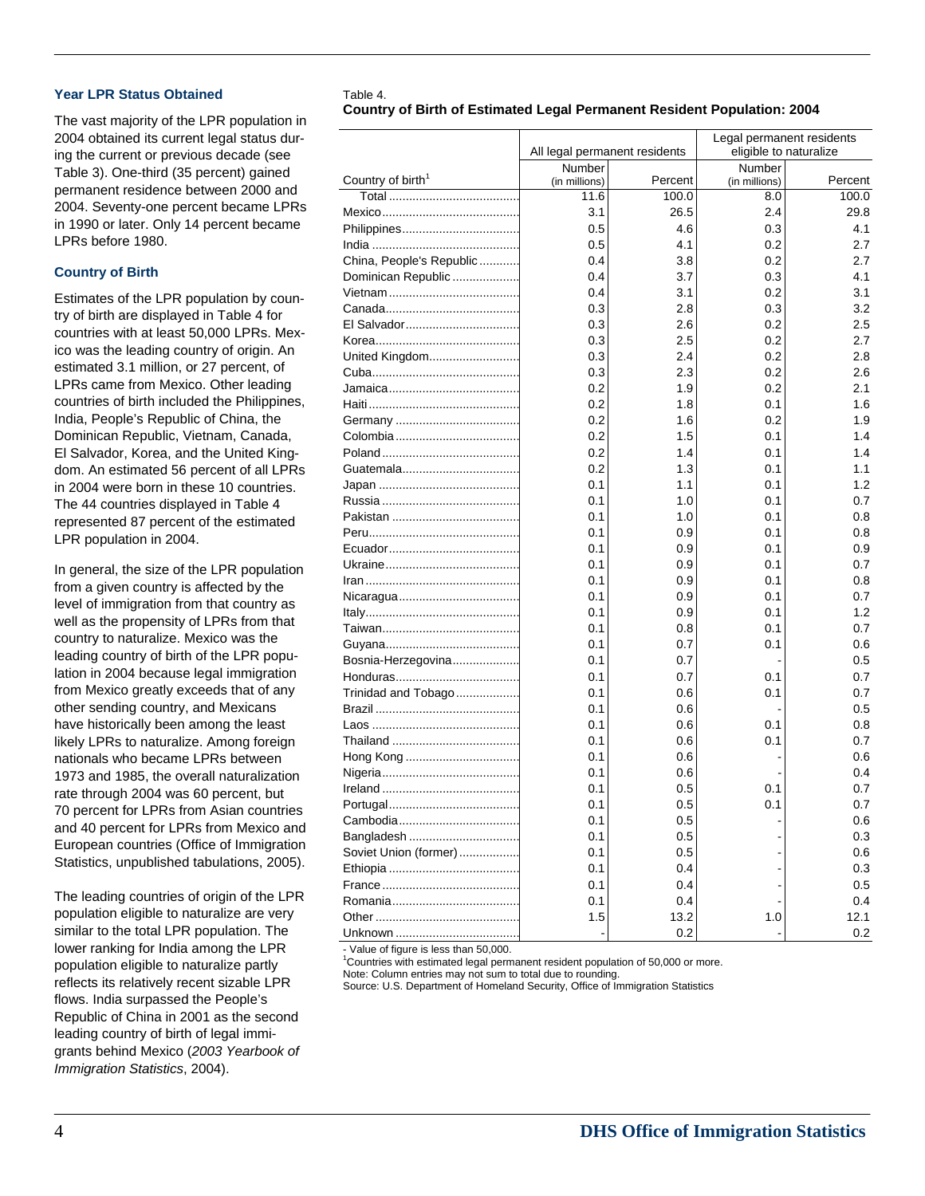#### **Year LPR Status Obtained** Table 4.

The vast majority of the LPR population in 2004 obtained its current legal status during the current or previous decade (see Table 3). One-third (35 percent) gained permanent residence between 2000 and 2004. Seventy-one percent became LPRs in 1990 or later. Only 14 percent became LPRs before 1980.

# **Country of Birth**

Estimates of the LPR population by country of birth are displayed in Table 4 for countries with at least 50,000 LPRs. Mexico was the leading country of origin. An estimated 3.1 million, or 27 percent, of LPRs came from Mexico. Other leading countries of birth included the Philippines, India, People's Republic of China, the Dominican Republic, Vietnam, Canada, El Salvador, Korea, and the United Kingdom. An estimated 56 percent of all LPRs in 2004 were born in these 10 countries. The 44 countries displayed in Table 4 represented 87 percent of the estimated LPR population in 2004.

In general, the size of the LPR population from a given country is affected by the level of immigration from that country as well as the propensity of LPRs from that country to naturalize. Mexico was the leading country of birth of the LPR population in 2004 because legal immigration from Mexico greatly exceeds that of any other sending country, and Mexicans have historically been among the least likely LPRs to naturalize. Among foreign nationals who became LPRs between 1973 and 1985, the overall naturalization rate through 2004 was 60 percent, but 70 percent for LPRs from Asian countries and 40 percent for LPRs from Mexico and European countries (Office of Immigration Statistics, unpublished tabulations, 2005).

The leading countries of origin of the LPR population eligible to naturalize are very similar to the total LPR population. The lower ranking for India among the LPR population eligible to naturalize partly reflects its relatively recent sizable LPR flows. India surpassed the People's Republic of China in 2001 as the second leading country of birth of legal immigrants behind Mexico (*2003 Yearbook of Immigration Statistics*, 2004).

# **Country of Birth of Estimated Legal Permanent Resident Population: 2004**

|                               | All legal permanent residents |         | Legal permanent residents<br>eligible to naturalize |         |
|-------------------------------|-------------------------------|---------|-----------------------------------------------------|---------|
|                               | Number                        |         | Number                                              |         |
| Country of birth <sup>1</sup> | (in millions)                 | Percent | (in millions)                                       | Percent |
|                               | 11.6                          | 100.0   | 8.0                                                 | 100.0   |
|                               | 3.1                           | 26.5    | 2.4                                                 | 29.8    |
|                               | 0.5                           | 4.6     | 0.3                                                 | 4.1     |
|                               | 0.5                           | 4.1     | 0.2                                                 | 2.7     |
| China, People's Republic      | 0.4                           | 3.8     | 0.2                                                 | 2.7     |
| Dominican Republic            | 0.4                           | 3.7     | 0.3                                                 | 4.1     |
|                               | 0.4                           | 3.1     | 0.2                                                 | 3.1     |
|                               | 0.3                           | 2.8     | 0.3                                                 | 3.2     |
|                               | 0.3                           | 2.6     | 0.2                                                 | 2.5     |
|                               | 0.3                           | 2.5     | 0.2                                                 | 2.7     |
| United Kingdom                | 0.3                           | 2.4     | 0.2                                                 | 2.8     |
|                               | 0.3                           | 2.3     | 0.2                                                 | 2.6     |
|                               | 0.2                           | 1.9     | 0.2                                                 | 2.1     |
|                               | 0.2                           | 1.8     | 0.1                                                 | 1.6     |
|                               | 0.2                           | 1.6     | 0.2                                                 | 1.9     |
|                               | 0.2                           | 1.5     | 0.1                                                 | 1.4     |
|                               | 0.2                           | 1.4     | 0.1                                                 | 1.4     |
|                               | 0.2                           | 1.3     | 0.1                                                 | 1.1     |
|                               | 0.1                           | 1.1     | 0.1                                                 | 1.2     |
|                               | 0.1                           | 1.0     | 0.1                                                 | 0.7     |
|                               | 0.1                           | 1.0     | 0.1                                                 | 0.8     |
|                               | 0.1                           | 0.9     | 0.1                                                 | 0.8     |
|                               | 0.1                           | 0.9     | 0.1                                                 | 0.9     |
|                               | 0.1                           | 0.9     | 0.1                                                 | 0.7     |
|                               | 0.1                           | 0.9     | 0.1                                                 | 0.8     |
|                               | 0.1                           | 0.9     | 0.1                                                 | 0.7     |
|                               | 0.1                           | 0.9     | 0.1                                                 | 1.2     |
|                               | 0.1                           | 0.8     | 0.1                                                 | 0.7     |
|                               | 0.1                           | 0.7     | 0.1                                                 | 0.6     |
| Bosnia-Herzegovina            | 0.1                           | 0.7     |                                                     | 0.5     |
|                               | 0.1                           | 0.7     | 0.1                                                 | 0.7     |
| Trinidad and Tobago           | 0.1                           | 0.6     | 0.1                                                 | 0.7     |
|                               | 0.1                           | 0.6     |                                                     | 0.5     |
|                               | 0.1                           | 0.6     | 0.1                                                 | 0.8     |
|                               | 0.1                           | 0.6     | 0.1                                                 | 0.7     |
|                               | 0.1                           | 0.6     |                                                     | 0.6     |
|                               | 0.1                           | 0.6     |                                                     | 0.4     |
|                               |                               |         |                                                     |         |
|                               | 0.1                           | 0.5     | 0.1                                                 | 0.7     |
|                               | 0.1                           | 0.5     | 0.1                                                 | 0.7     |
|                               | 0.1                           | 0.5     |                                                     | 0.6     |
| Bangladesh                    | 0.1                           | 0.5     |                                                     | 0.3     |
| Soviet Union (former)         | 0.1                           | 0.5     |                                                     | 0.6     |
|                               | 0.1                           | 0.4     |                                                     | 0.3     |
|                               | 0.1                           | 0.4     |                                                     | 0.5     |
|                               | 0.1                           | 0.4     |                                                     | 0.4     |
|                               | 1.5                           | 13.2    | 1.0                                                 | 12.1    |
|                               |                               | 0.2     |                                                     | 0.2     |

Value of figure is less than 50,000.

<sup>1</sup>Countries with estimated legal permanent resident population of 50,000 or more.

Note: Column entries may not sum to total due to rounding.

Source: U.S. Department of Homeland Security, Office of Immigration Statistics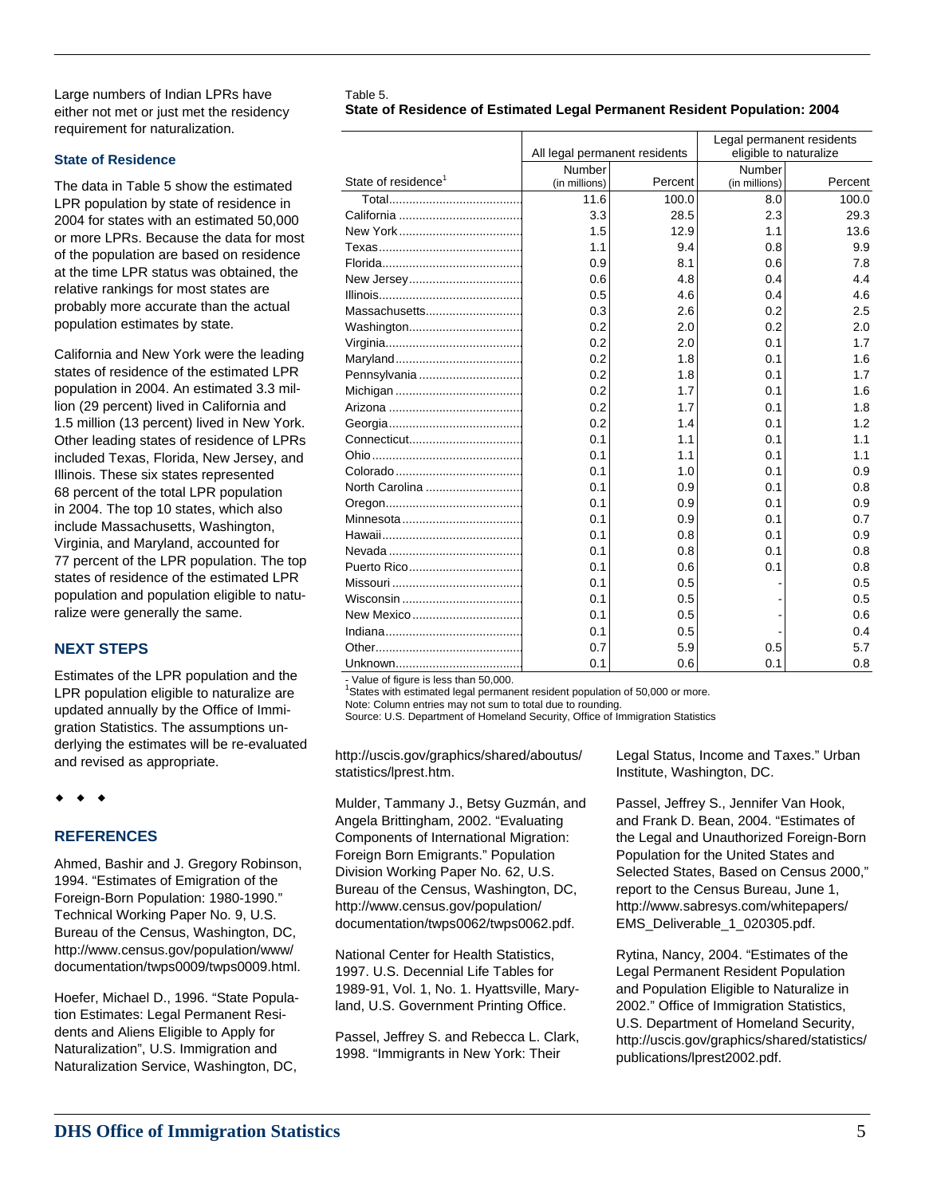Large numbers of Indian LPRs have Table 5. either not met or just met the residency requirement for naturalization.

### **State of Residence**

The data in Table 5 show the estimated LPR population by state of residence in 2004 for states with an estimated 50,000 or more LPRs. Because the data for most of the population are based on residence at the time LPR status was obtained, the relative rankings for most states are probably more accurate than the actual population estimates by state.

California and New York were the leading states of residence of the estimated LPR population in 2004. An estimated 3.3 million (29 percent) lived in California and 1.5 million (13 percent) lived in New York. Other leading states of residence of LPRs included Texas, Florida, New Jersey, and Illinois. These six states represented 68 percent of the total LPR population in 2004. The top 10 states, which also include Massachusetts, Washington, Virginia, and Maryland, accounted for 77 percent of the LPR population. The top states of residence of the estimated LPR population and population eligible to naturalize were generally the same.

# **NEXT STEPS**

Estimates of the LPR population and the LPR population eligible to naturalize are updated annually by the Office of Immigration Statistics. The assumptions underlying the estimates will be re-evaluated and revised as appropriate.

 $\bullet$   $\bullet$   $\bullet$ 

# **REFERENCES**

Ahmed, Bashir and J. Gregory Robinson, 1994. "Estimates of Emigration of the Foreign-Born Population: 1980-1990." Technical Working Paper No. 9, U.S. Bureau of the Census, Washington, DC, http://www.census.gov/population/www/ documentation/twps0009/twps0009.html.

Hoefer, Michael D., 1996. "State Population Estimates: Legal Permanent Residents and Aliens Eligible to Apply for Naturalization", U.S. Immigration and Naturalization Service, Washington, DC,

**State of Residence of Estimated Legal Permanent Resident Population: 2004** 

|                                 | All legal permanent residents |         | Legal permanent residents<br>eligible to naturalize |         |
|---------------------------------|-------------------------------|---------|-----------------------------------------------------|---------|
|                                 | <b>Number</b>                 |         | <b>Number</b>                                       |         |
| State of residence <sup>1</sup> | (in millions)                 | Percent | (in millions)                                       | Percent |
|                                 | 11.6                          | 100.0   | 8.0                                                 | 100.0   |
|                                 | 3.3                           | 28.5    | 2.3                                                 | 29.3    |
|                                 | 1.5                           | 12.9    | 1.1                                                 | 13.6    |
|                                 | 1.1                           | 9.4     | 0.8                                                 | 9.9     |
|                                 | 0.9                           | 8.1     | 0.6                                                 | 7.8     |
|                                 | 0.6                           | 4.8     | 0.4                                                 | 4.4     |
|                                 | 0.5                           | 4.6     | 0.4                                                 | 4.6     |
| Massachusetts                   | 0.3                           | 2.6     | 0.2                                                 | 2.5     |
|                                 | 0.2                           | 2.0     | 0.2                                                 | 2.0     |
|                                 | 0.2                           | 2.0     | 0.1                                                 | 1.7     |
|                                 | 0.2                           | 1.8     | 0.1                                                 | 1.6     |
|                                 | 0.2                           | 1.8     | 0.1                                                 | 1.7     |
|                                 | 0.2                           | 1.7     | 0.1                                                 | 1.6     |
|                                 | 0.2                           | 1.7     | 0.1                                                 | 1.8     |
|                                 | 0.2                           | 1.4     | 0.1                                                 | 1.2     |
|                                 | 0.1                           | 1.1     | 0.1                                                 | 1.1     |
|                                 | 0.1                           | 1.1     | 0.1                                                 | 1.1     |
|                                 | 0.1                           | 1.0     | 0.1                                                 | 0.9     |
| North Carolina                  | 0.1                           | 0.9     | 0.1                                                 | 0.8     |
|                                 | 0.1                           | 0.9     | 0.1                                                 | 0.9     |
|                                 | 0.1                           | 0.9     | 0.1                                                 | 0.7     |
|                                 | 0.1                           | 0.8     | 0.1                                                 | 0.9     |
|                                 | 0.1                           | 0.8     | 0.1                                                 | 0.8     |
|                                 | 0.1                           | 0.6     | 0.1                                                 | 0.8     |
|                                 | 0.1                           | 0.5     |                                                     | 0.5     |
|                                 | 0.1                           | 0.5     |                                                     | 0.5     |
| New Mexico                      | 0.1                           | 0.5     |                                                     | 0.6     |
|                                 | 0.1                           | 0.5     |                                                     | 0.4     |
|                                 | 0.7                           | 5.9     | 0.5                                                 | 5.7     |
|                                 | 0.1                           | 0.6     | 0.1                                                 | 0.8     |

Value of figure is less than  $50,000$ .

States with estimated legal permanent resident population of 50,000 or more.

Note: Column entries may not sum to total due to rounding.

Source: U.S. Department of Homeland Security, Office of Immigration Statistics

http://uscis.gov/graphics/shared/aboutus/ statistics/lprest.htm.

Mulder, Tammany J., Betsy Guzmán, and Angela Brittingham, 2002. "Evaluating Components of International Migration: Foreign Born Emigrants." Population Division Working Paper No. 62, U.S. Bureau of the Census, Washington, DC, http://www.census.gov/population/ documentation/twps0062/twps0062.pdf.

National Center for Health Statistics, 1997. U.S. Decennial Life Tables for 1989-91, Vol. 1, No. 1. Hyattsville, Maryland, U.S. Government Printing Office.

Passel, Jeffrey S. and Rebecca L. Clark, 1998. "Immigrants in New York: Their

Legal Status, Income and Taxes." Urban Institute, Washington, DC.

Passel, Jeffrey S., Jennifer Van Hook, and Frank D. Bean, 2004. "Estimates of the Legal and Unauthorized Foreign-Born Population for the United States and Selected States, Based on Census 2000," report to the Census Bureau, June 1, http://www.sabresys.com/whitepapers/ EMS\_Deliverable\_1\_020305.pdf.

Rytina, Nancy, 2004. "Estimates of the Legal Permanent Resident Population and Population Eligible to Naturalize in 2002." Office of Immigration Statistics, U.S. Department of Homeland Security, http://uscis.gov/graphics/shared/statistics/ publications/lprest2002.pdf.